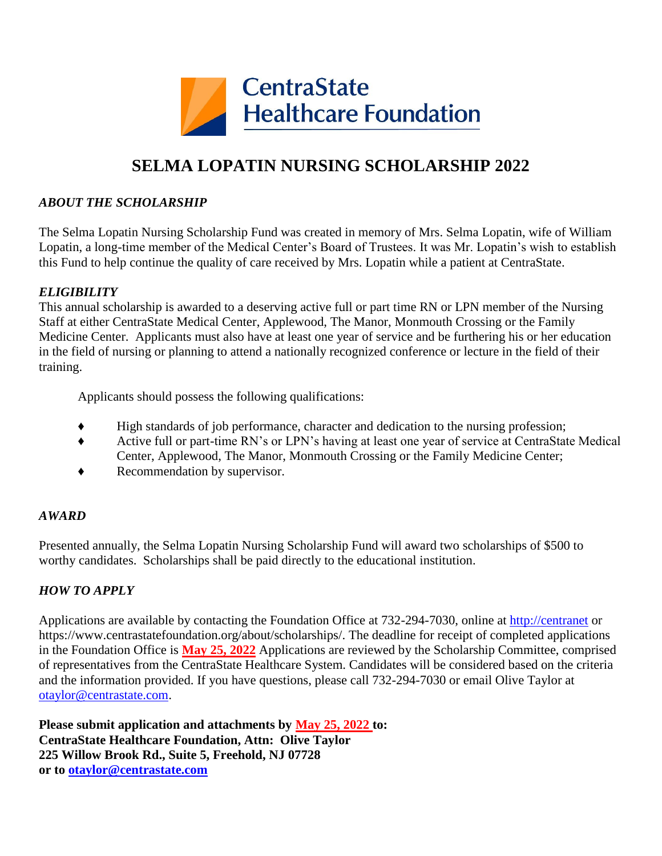

## **SELMA LOPATIN NURSING SCHOLARSHIP 2022**

#### *ABOUT THE SCHOLARSHIP*

The Selma Lopatin Nursing Scholarship Fund was created in memory of Mrs. Selma Lopatin, wife of William Lopatin, a long-time member of the Medical Center's Board of Trustees. It was Mr. Lopatin's wish to establish this Fund to help continue the quality of care received by Mrs. Lopatin while a patient at CentraState.

#### *ELIGIBILITY*

This annual scholarship is awarded to a deserving active full or part time RN or LPN member of the Nursing Staff at either CentraState Medical Center, Applewood, The Manor, Monmouth Crossing or the Family Medicine Center. Applicants must also have at least one year of service and be furthering his or her education in the field of nursing or planning to attend a nationally recognized conference or lecture in the field of their training.

Applicants should possess the following qualifications:

- High standards of job performance, character and dedication to the nursing profession;
- ♦ Active full or part-time RN's or LPN's having at least one year of service at CentraState Medical Center, Applewood, The Manor, Monmouth Crossing or the Family Medicine Center;
- ♦ Recommendation by supervisor.

#### *AWARD*

Presented annually, the Selma Lopatin Nursing Scholarship Fund will award two scholarships of \$500 to worthy candidates. Scholarships shall be paid directly to the educational institution.

### *HOW TO APPLY*

Applications are available by contacting the Foundation Office at 732-294-7030, online at [http://centranet](http://centranet/) or https://www.centrastatefoundation.org/about/scholarships/. The deadline for receipt of completed applications in the Foundation Office is **May 25, 2022** Applications are reviewed by the Scholarship Committee, comprised of representatives from the CentraState Healthcare System. Candidates will be considered based on the criteria and the information provided. If you have questions, please call 732-294-7030 or email Olive Taylor at [otaylor@centrastate.com.](mailto:otaylor@centrastate.com)

**Please submit application and attachments by May 25, 2022 to: CentraState Healthcare Foundation, Attn: Olive Taylor 225 Willow Brook Rd., Suite 5, Freehold, NJ 07728 or to [otaylor@centrastate.com](mailto:otaylor@centrastate.com)**